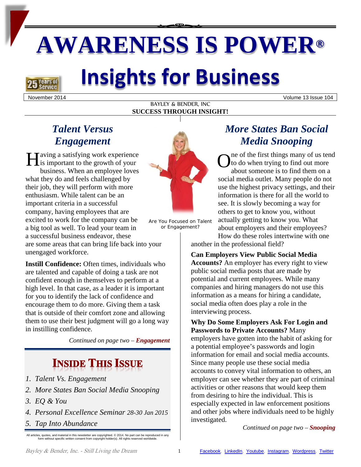# **AWARENESS IS POWER®**

# **Insights for Business**

**Years of** 

#### BAYLEY & BENDER, INC **SUCCESS THROUGH INSIGHT!**

November 2014 Volume 13 Issue 104

## *Talent Versus Engagement*

**Taving a satisfying work experience** is important to the growth of your business. When an employee loves what they do and feels challenged by their job, they will perform with more enthusiasm. While talent can be an important criteria in a successful company, having employees that are excited to work for the company can be a big tool as well. To lead your team in a successful business endeavor, these are some areas that can bring life back into your unengaged workforce. Having a satisfying work experience<br>is important to the growth of your<br>business. When an employee loves

**Instill Confidence:** Often times, individuals who are talented and capable of doing a task are not confident enough in themselves to perform at a high level. In that case, as a leader it is important for you to identify the lack of confidence and encourage them to do more. Giving them a task that is outside of their comfort zone and allowing them to use their best judgment will go a long way in instilling confidence.

*Continued on page two – Engagement*

# **INSIDE THIS ISSUE**

- *1. Talent Vs. Engagement*
- *2. More States Ban Social Media Snooping*
- *3. EQ & You*
- *4. Personal Excellence Seminar 28-30 Jan 2015*
- *5. Tap Into Abundance*

All articles, quotes, and material in this newsletter are copyrighted. © 2014. No part can be reproduced in any form without specific written consent from copyright holder(s). All rights reserved worldwide.



Are You Focused on Talent or Engagement?

## *More States Ban Social Media Snooping*

ne of the first things many of us tend to do when trying to find out more about someone is to find them on a social media outlet. Many people do not use the highest privacy settings, and their information is there for all the world to see. It is slowly becoming a way for others to get to know you, without actually getting to know you. What about employers and their employees?

How do these roles intertwine with one another in the professional field?

**Can Employers View Public Social Media Accounts?** An employer has every right to view public social media posts that are made by potential and current employees. While many companies and hiring managers do not use this information as a means for hiring a candidate, social media often does play a role in the interviewing process.

**Why Do Some Employers Ask For Login and Passwords to Private Accounts?** Many employers have gotten into the habit of asking for a potential employee's passwords and login information for email and social media accounts. Since many people use these social media accounts to convey vital information to others, an employer can see whether they are part of criminal activities or other reasons that would keep them from desiring to hire the individual. This is especially expected in law enforcement positions and other jobs where individuals need to be highly investigated.

*Continued on page two – Snooping*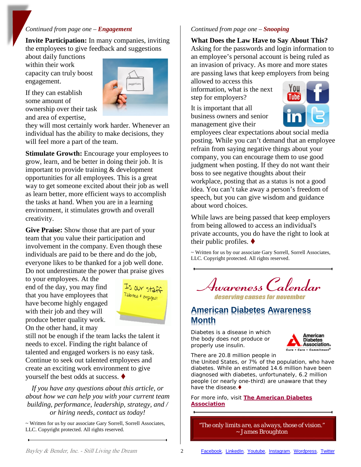#### *Continued from page one – Engagement*

**Invite Participation:** In many companies, inviting the employees to give feedback and suggestions

about daily functions within their work capacity can truly boost engagement.



If they can establish some amount of ownership over their task and area of expertise,

they will most certainly work harder. Whenever an individual has the ability to make decisions, they will feel more a part of the team.

**Stimulate Growth:** Encourage your employees to grow, learn, and be better in doing their job. It is important to provide training & development opportunities for all employees. This is a great way to get someone excited about their job as well as learn better, more efficient ways to accomplish the tasks at hand. When you are in a learning environment, it stimulates growth and overall creativity.

**Give Praise:** Show those that are part of your team that you value their participation and involvement in the company. Even though these individuals are paid to be there and do the job, everyone likes to be thanked for a job well done. Do not underestimate the power that praise gives

to your employees. At the end of the day, you may find that you have employees that have become highly engaged with their job and they will produce better quality work. On the other hand, it may



still not be enough if the team lacks the talent it needs to excel. Finding the right balance of talented and engaged workers is no easy task. Continue to seek out talented employees and create an exciting work environment to give yourself the best odds at success.

*If you have any questions about this article, or about how we can help you with your current team building, performance, leadership, strategy, and / or hiring needs, contact us today!*

~ Written for us by our associate Gary Sorrell, Sorrell Associates, LLC. Copyright protected. All rights reserved.

#### *Continued from page one – Snooping*

**What Does the Law Have to Say About This?** Asking for the passwords and login information to an employee's personal account is being ruled as an invasion of privacy. As more and more states are passing laws that keep employers from being

allowed to access this information, what is the next step for employers?

It is important that all business owners and senior management give their



employees clear expectations about social media posting. While you can't demand that an employee refrain from saying negative things about your company, you can encourage them to use good judgment when posting. If they do not want their boss to see negative thoughts about their workplace, posting that as a status is not a good idea. You can't take away a person's freedom of speech, but you can give wisdom and guidance about word choices.

While laws are being passed that keep employers from being allowed to access an individual's private accounts, you do have the right to look at their public profiles.  $\blacklozenge$ 

~ Written for us by our associate Gary Sorrell, Sorrell Associates, LLC. Copyright protected. All rights reserved.



### **American Diabetes Awareness Month**

Diabetes is a disease in which the body does not produce or properly use insulin.



There are 20.8 million people in

the United States, or 7% of the population, who have diabetes. While an estimated 14.6 million have been diagnosed with diabetes, unfortunately, 6.2 million people (or nearly one-third) are unaware that they have the disease.

For more info, visit **[The American Diabetes](http://www.diabetes.org/in-my-community/programs/american-diabetes-month/)  [Association](http://www.diabetes.org/in-my-community/programs/american-diabetes-month/)**

*"The only limits are, as always, those of vision."* ~ *James Broughton*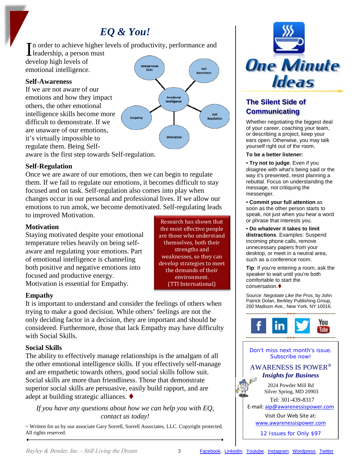## *EQ & You!*

In order to achieve higher l<br>leadership, a person must n order to achieve higher levels of productivity, performance and develop high levels of Interpersonal Self emotional intelligence. **Skills Awareness** 

#### **Self-Awareness**

If we are not aware of our emotions and how they impact others, the other emotional intelligence skills become more difficult to demonstrate. If we are unaware of our emotions, it's virtually impossible to regulate them. Being Self-

aware is the first step towards Self-regulation.

#### **Self-Regulation**

Once we are aware of our emotions, then we can begin to regulate them. If we fail to regulate our emotions, it becomes difficult to stay focused and on task. Self-regulation also comes into play when changes occur in our personal and professional lives. If we allow our emotions to run amok, we become demotivated. Self-regulating leads to improved Motivation.

Empathy

#### **Motivation**

Staying motivated despite your emotional temperature relies heavily on being selfaware and regulating your emotions. Part of emotional intelligence is channeling both positive and negative emotions into focused and productive energy. Motivation is essential for Empathy.

Research has shown that the most effective people are those who understand themselves, both their strengths and weaknesses, so they can develop strategies to meet the demands of their environment. (TTI International)

Emotional Intelligence

Motivatio

Self

**Regulation** 

#### **Empathy**

It is important to understand and consider the feelings of others when trying to make a good decision. While others' feelings are not the only deciding factor in a decision, they are important and should be considered. Furthermore, those that lack Empathy may have difficulty with Social Skills.

#### **Social Skills**

The ability to effectively manage relationships is the amalgam of all the other emotional intelligence skills. If you effectively self-manage and are empathetic towards others, good social skills follow suit. Social skills are more than friendliness. Those that demonstrate superior social skills are persuasive, easily build rapport, and are adept at building strategic alliances.

#### *If you have any questions about how we can help you with EQ, contact us today!*

~ Written for us by our associate Gary Sorrell, Sorrell Associates, LLC. Copyright protected. All rights reserved.



### **The Silent Side of Communicating**

Whether negotiating the biggest deal of your career, coaching your team, or describing a project, keep your ears open. Otherwise, you may talk yourself right out of the room.

#### **To be a better listener:**

• **Try not to judge**. Even if you disagree with what's being said or the way it's presented, resist planning a rebuttal. Focus on understanding the message, not critiquing the messenger.

• **Commit your full attention** as soon as the other person starts to speak, not just when you hear a word or phrase that interests you.

• **Do whatever it takes to limit distractions**. Examples: Suspend incoming phone calls, remove unnecessary papers from your desktop, or meet in a neutral area, such as a conference room.

**Tip**: If you're entering a room, ask the speaker to wait until you're both comfortable to start the conversation.

Source: *Negotiate Like the Pros*, by John Patrick Dolan, Berkley Publishing Group, 200 Madison Ave., New York, NY 10016.



Don't miss next month's issue. Subscribe now!

#### AWARENESS IS POWER® *Insights for Business*

2024 Powder Mill Rd Silver Spring, MD 20903

 Tel: 301-439-8317 E-mail: [aip@awarenessispower.com](mailto:aip@awarenessispower.com)

Visit Our Web Site at: [www.awarenessispower.com](http://www.awarenessispower.com/)

12 Issues for Only \$97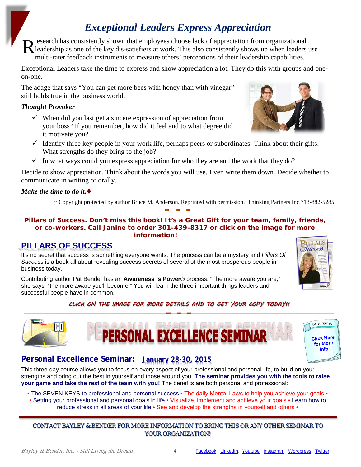## *Exceptional Leaders Express Appreciation*

esearch has consistently shown that employees choose lack of appreciation from organizational leadership as one of the key dis-satisfiers at work. This also consistently shows up when leaders use multi-rater feedback instruments to measure others' perceptions of their leadership capabilities. R

Exceptional Leaders take the time to express and show appreciation a lot. They do this with groups and oneon-one.

The adage that says "You can get more bees with honey than with vinegar" still holds true in the business world.

#### *Thought Provoker*

- $\checkmark$  When did you last get a sincere expression of appreciation from your boss? If you remember, how did it feel and to what degree did it motivate you?
- $\checkmark$  Identify three key people in your work life, perhaps peers or subordinates. Think about their gifts. What strengths do they bring to the job?
- $\checkmark$  In what ways could you express appreciation for who they are and the work that they do?

Decide to show appreciation. Think about the words you will use. Even write them down. Decide whether to communicate in writing or orally.

#### *Make the time to do it.*

~ Copyright protected by author Bruce M. Anderson. Reprinted with permission. Thinking Partners Inc.713-882-5285

#### *Pillars of Success.* **Don't miss this book! It's a Great Gift for your team, family, friends, or co-workers. Call Janine to order 301-439-8317 or click on the image for more information!**

## **PILLARS OF SUCCESS**

It's no secret that success is something everyone wants. The process can be a mystery and *Pillars Of Success* is a book all about revealing success secrets of several of the most prosperous people in business today.

Contributing author Pat Bender has an **Awareness Is Power**® process. "The more aware you are," she says, "the more aware you'll become." You will learn the three important things leaders and successful people have in common.

#### *CLICK ON THE IMAGE FOR MORE DETAILS AND TO GET YOUR COPY TODAY!!*

**NAL EXCELLENCE SE** 





## **Personal Excellence Seminar: January 28-30, 2015**

This three-day course allows you to focus on every aspect of your professional and personal life, to build on your strengths and bring out the best in yourself and those around you. **The seminar provides you with the tools to raise your game and take the rest of the team with you!** The benefits are both personal and professional:

• The SEVEN KEYS to professional and personal success • The daily Mental Laws to help you achieve your goals •

• Setting your professional and personal goals in life • Visualize, implement and achieve your goals • Learn how to reduce stress in all areas of your life • See and develop the strengths in yourself and others •

#### CONTACT BAYLEY & BENDER FOR MORE INFORMATION TO BRING THIS OR ANY OTHER SEMINAR TO YOUR ORGANIZATION!





**PILLARS** Fuccess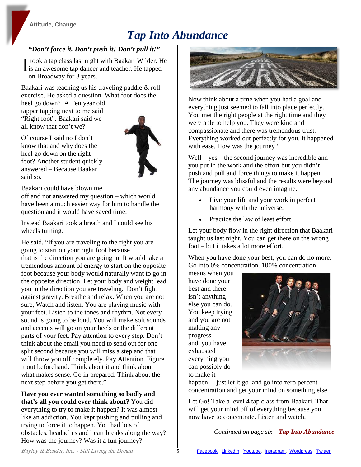#### **[Attitude,](http://bayleyandbender.wordpress.com/category/attitude/) [Change](http://bayleyandbender.wordpress.com/category/change/)**

# *Tap Into Abundance*

#### *"Don't force it. Don't push it! Don't pull it!"*

took a tap class last night with Baakari Wilder. He I took a tap class last night with Baakari Wilder. H<br>
is an awesome tap dancer and teacher. He tapped<br>
on Proodway for 3 years on Broadway for 3 years.

Baakari was teaching us his traveling paddle & roll exercise. He asked a question. What foot does the

heel go down? A Ten year old tapper tapping next to me said "Right foot". Baakari said we all know that don't we?

Of course I said no I don't know that and why does the heel go down on the right foot? Another student quickly answered – Because Baakari



Baakari could have blown me

said so.

off and not answered my question – which would have been a much easier way for him to handle the question and it would have saved time.

Instead Baakari took a breath and I could see his wheels turning.

He said, "If you are traveling to the right you are going to start on your right foot because that is the direction you are going in. It would take a tremendous amount of energy to start on the opposite foot because your body would naturally want to go in the opposite direction. Let your body and weight lead you in the direction you are traveling. Don't fight against gravity. Breathe and relax. When you are not sure, Watch and listen. You are playing music with your feet. Listen to the tones and rhythm. Not every sound is going to be loud. You will make soft sounds and accents will go on your heels or the different parts of your feet. Pay attention to every step. Don't think about the email you need to send out for one split second because you will miss a step and that will throw you off completely. Pay Attention. Figure it out beforehand. Think about it and think about what makes sense. Go in prepared. Think about the next step before you get there."

**Have you ever wanted something so badly and that's all you could ever think about?** You did everything to try to make it happen? It was almost like an addiction. You kept pushing and pulling and trying to force it to happen. You had lots of obstacles, headaches and heart breaks along the way? How was the journey? Was it a fun journey?



Now think about a time when you had a goal and everything just seemed to fall into place perfectly. You met the right people at the right time and they were able to help you. They were kind and compassionate and there was tremendous trust. Everything worked out perfectly for you. It happened with ease. How was the journey?

Well – yes – the second journey was incredible and you put in the work and the effort but you didn't push and pull and force things to make it happen. The journey was blissful and the results were beyond any abundance you could even imagine.

- Live your life and your work in perfect harmony with the universe.
- Practice the law of least effort.

Let your body flow in the right direction that Baakari taught us last night. You can get there on the wrong foot – but it takes a lot more effort.

When you have done your best, you can do no more. Go into 0% concentration. 100% concentration

means when you have done your best and there isn't anything else you can do. You keep trying and you are not making any progress and you have exhausted everything you can possibly do to make it



happen – just let it go and go into zero percent concentration and get your mind on something else.

Let Go! Take a level 4 tap class from Baakari. That will get your mind off of everything because you now have to concentrate. Listen and watch.

*Continued on page six – Tap Into Abundance*